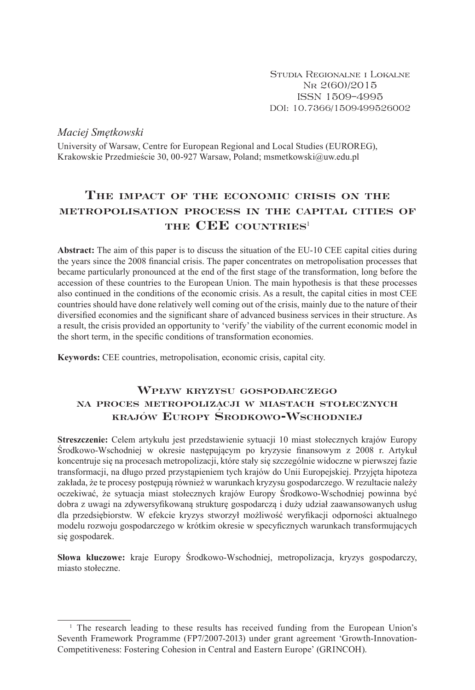*Maciej Smętkowski*

University of Warsaw, Centre for European Regional and Local Studies (EUROREG), Krakowskie Przedmieście 30, 00-927 Warsaw, Poland; msmetkowski@uw.edu.pl

# **The impact of the economic crisis on the metropolisation process… in the capital cities of the CEE countries**<sup>1</sup>

**Abstract:** The aim of this paper is to discuss the situation of the EU-10 CEE capital cities during the years since the 2008 financial crisis. The paper concentrates on metropolisation processes that became particularly pronounced at the end of the first stage of the transformation, long before the accession of these countries to the European Union. The main hypothesis is that these processes also continued in the conditions of the economic crisis. As a result, the capital cities in most CEE countries should have done relatively well coming out of the crisis, mainly due to the nature of their diversified economies and the significant share of advanced business services in their structure. As a result, the crisis provided an opportunity to 'verify' the viability of the current economic model in the short term, in the specific conditions of transformation economies.

**Keywords:** CEE countries, metropolisation, economic crisis, capital city.

## **Wpływ kryzysu gospodarczego na proces metropolizacji w miastach stołecznych krajów Europy Środkowo-Wschodniej**

**Streszczenie:** Celem artykułu jest przedstawienie sytuacji 10 miast stołecznych krajów Europy Środkowo-Wschodniej w okresie następującym po kryzysie finansowym z 2008 r. Artykuł koncentruje się na procesach metropolizacji, które stały się szczególnie widoczne w pierwszej fazie transformacji, na długo przed przystąpieniem tych krajów do Unii Europejskiej. Przyjęta hipoteza zakłada, że te procesy postępują również w warunkach kryzysu gospodarczego. W rezultacie należy oczekiwać, że sytuacja miast stołecznych krajów Europy Środkowo-Wschodniej powinna być dobra z uwagi na zdywersyfikowaną strukturę gospodarczą i duży udział zaawansowanych usług dla przedsiębiorstw. W efekcie kryzys stworzył możliwość weryfikacji odporności aktualnego modelu rozwoju gospodarczego w krótkim okresie w specyficznych warunkach transformujących się gospodarek.

**Słowa kluczowe:** kraje Europy Środkowo-Wschodniej, metropolizacja, kryzys gospodarczy, miasto stołeczne.

 $<sup>1</sup>$  The research leading to these results has received funding from the European Union's</sup> Seventh Framework Programme (FP7/2007-2013) under grant agreement 'Growth-Innovation-Competitiveness: Fostering Cohesion in Central and Eastern Europe' (GRINCOH).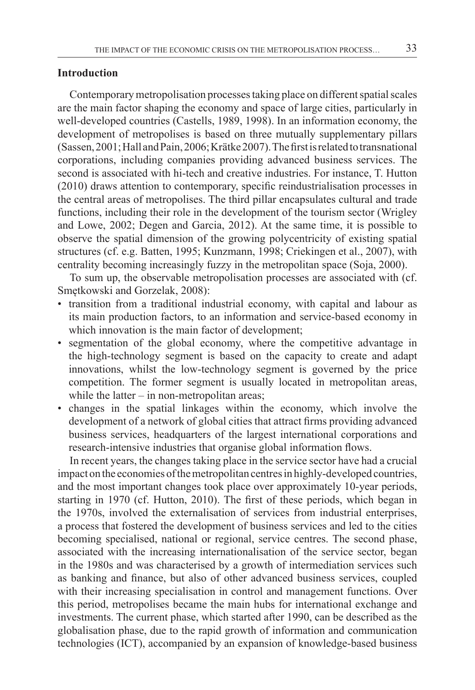### **Introduction**

Contemporary metropolisation processes taking place on different spatial scales are the main factor shaping the economy and space of large cities, particularly in well-developed countries (Castells, 1989, 1998). In an information economy, the development of metropolises is based on three mutually supplementary pillars (Sassen,2001;HallandPain,2006;Krätke2007).Thefirstisrelatedtotransnational corporations, including companies providing advanced business services. The second is associated with hi-tech and creative industries. For instance, T. Hutton (2010) draws attention to contemporary, specific reindustrialisation processes in the central areas of metropolises. The third pillar encapsulates cultural and trade functions, including their role in the development of the tourism sector (Wrigley and Lowe, 2002; Degen and Garcia, 2012). At the same time, it is possible to observe the spatial dimension of the growing polycentricity of existing spatial structures (cf. e.g. Batten, 1995; Kunzmann, 1998; Criekingen et al., 2007), with centrality becoming increasingly fuzzy in the metropolitan space (Soja, 2000).

To sum up, the observable metropolisation processes are associated with (cf. Smętkowski and Gorzelak, 2008):

- transition from a traditional industrial economy, with capital and labour as its main production factors, to an information and service-based economy in which innovation is the main factor of development;
- segmentation of the global economy, where the competitive advantage in the high-technology segment is based on the capacity to create and adapt innovations, whilst the low-technology segment is governed by the price competition. The former segment is usually located in metropolitan areas, while the latter  $-$  in non-metropolitan areas;
- changes in the spatial linkages within the economy, which involve the development of a network of global cities that attract firms providing advanced business services, headquarters of the largest international corporations and research-intensive industries that organise global information flows.

In recent years, the changes taking place in the service sector have had a crucial impact on the economies of the metropolitan centres in highly-developed countries, and the most important changes took place over approximately 10-year periods, starting in 1970 (cf. Hutton, 2010). The first of these periods, which began in the 1970s, involved the externalisation of services from industrial enterprises, a process that fostered the development of business services and led to the cities becoming specialised, national or regional, service centres. The second phase, associated with the increasing internationalisation of the service sector, began in the 1980s and was characterised by a growth of intermediation services such as banking and finance, but also of other advanced business services, coupled with their increasing specialisation in control and management functions. Over this period, metropolises became the main hubs for international exchange and investments. The current phase, which started after 1990, can be described as the globalisation phase, due to the rapid growth of information and communication technologies (ICT), accompanied by an expansion of knowledge-based business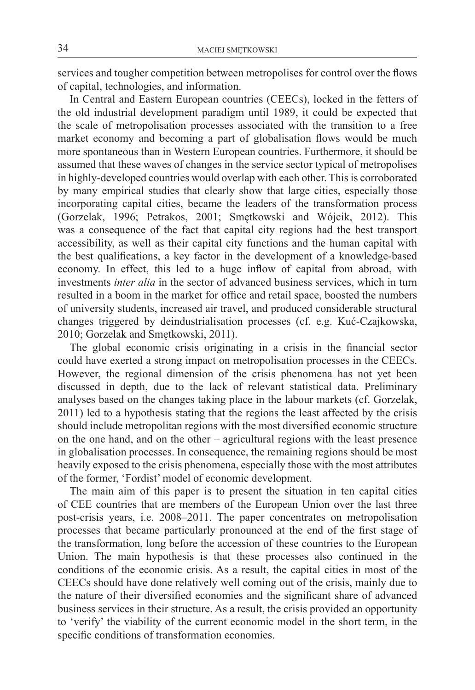services and tougher competition between metropolises for control over the flows of capital, technologies, and information.

In Central and Eastern European countries (CEECs), locked in the fetters of the old industrial development paradigm until 1989, it could be expected that the scale of metropolisation processes associated with the transition to a free market economy and becoming a part of globalisation flows would be much more spontaneous than in Western European countries. Furthermore, it should be assumed that these waves of changes in the service sector typical of metropolises in highly-developed countries would overlap with each other. This is corroborated by many empirical studies that clearly show that large cities, especially those incorporating capital cities, became the leaders of the transformation process (Gorzelak, 1996; Petrakos, 2001; Smętkowski and Wójcik, 2012). This was a consequence of the fact that capital city regions had the best transport accessibility, as well as their capital city functions and the human capital with the best qualifications, a key factor in the development of a knowledge-based economy. In effect, this led to a huge inflow of capital from abroad, with investments *inter alia* in the sector of advanced business services, which in turn resulted in a boom in the market for office and retail space, boosted the numbers of university students, increased air travel, and produced considerable structural changes triggered by deindustrialisation processes (cf. e.g. Kuć-Czajkowska, 2010; Gorzelak and Smętkowski, 2011).

The global economic crisis originating in a crisis in the financial sector could have exerted a strong impact on metropolisation processes in the CEECs. However, the regional dimension of the crisis phenomena has not yet been discussed in depth, due to the lack of relevant statistical data. Preliminary analyses based on the changes taking place in the labour markets (cf. Gorzelak, 2011) led to a hypothesis stating that the regions the least affected by the crisis should include metropolitan regions with the most diversified economic structure on the one hand, and on the other – agricultural regions with the least presence in globalisation processes. In consequence, the remaining regions should be most heavily exposed to the crisis phenomena, especially those with the most attributes of the former, 'Fordist' model of economic development.

The main aim of this paper is to present the situation in ten capital cities of CEE countries that are members of the European Union over the last three post-crisis years, i.e. 2008–2011. The paper concentrates on metropolisation processes that became particularly pronounced at the end of the first stage of the transformation, long before the accession of these countries to the European Union. The main hypothesis is that these processes also continued in the conditions of the economic crisis. As a result, the capital cities in most of the CEECs should have done relatively well coming out of the crisis, mainly due to the nature of their diversified economies and the significant share of advanced business services in their structure. As a result, the crisis provided an opportunity to 'verify' the viability of the current economic model in the short term, in the specific conditions of transformation economies.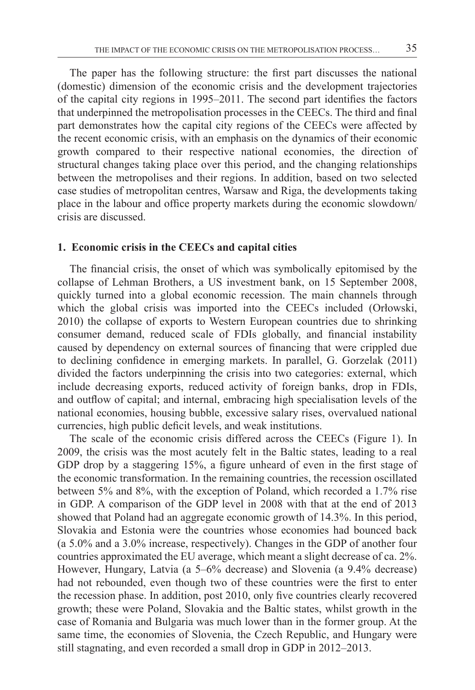The paper has the following structure: the first part discusses the national (domestic) dimension of the economic crisis and the development trajectories of the capital city regions in 1995–2011. The second part identifies the factors that underpinned the metropolisation processes in the CEECs. The third and final part demonstrates how the capital city regions of the CEECs were affected by the recent economic crisis, with an emphasis on the dynamics of their economic growth compared to their respective national economies, the direction of structural changes taking place over this period, and the changing relationships between the metropolises and their regions. In addition, based on two selected case studies of metropolitan centres, Warsaw and Riga, the developments taking place in the labour and office property markets during the economic slowdown/ crisis are discussed.

#### **1. Economic crisis in the CEECs and capital cities**

The financial crisis, the onset of which was symbolically epitomised by the collapse of Lehman Brothers, a US investment bank, on 15 September 2008, quickly turned into a global economic recession. The main channels through which the global crisis was imported into the CEECs included (Orłowski, 2010) the collapse of exports to Western European countries due to shrinking consumer demand, reduced scale of FDIs globally, and financial instability caused by dependency on external sources of financing that were crippled due to declining confidence in emerging markets. In parallel, G. Gorzelak (2011) divided the factors underpinning the crisis into two categories: external, which include decreasing exports, reduced activity of foreign banks, drop in FDIs, and outflow of capital; and internal, embracing high specialisation levels of the national economies, housing bubble, excessive salary rises, overvalued national currencies, high public deficit levels, and weak institutions.

The scale of the economic crisis differed across the CEECs (Figure 1). In 2009, the crisis was the most acutely felt in the Baltic states, leading to a real GDP drop by a staggering 15%, a figure unheard of even in the first stage of the economic transformation. In the remaining countries, the recession oscillated between 5% and 8%, with the exception of Poland, which recorded a 1.7% rise in GDP. A comparison of the GDP level in 2008 with that at the end of 2013 showed that Poland had an aggregate economic growth of 14.3%. In this period, Slovakia and Estonia were the countries whose economies had bounced back (a 5.0% and a 3.0% increase, respectively). Changes in the GDP of another four countries approximated the EU average, which meant a slight decrease of ca. 2%. However, Hungary, Latvia (a 5–6% decrease) and Slovenia (a 9.4% decrease) had not rebounded, even though two of these countries were the first to enter the recession phase. In addition, post 2010, only five countries clearly recovered growth; these were Poland, Slovakia and the Baltic states, whilst growth in the case of Romania and Bulgaria was much lower than in the former group. At the same time, the economies of Slovenia, the Czech Republic, and Hungary were still stagnating, and even recorded a small drop in GDP in 2012–2013.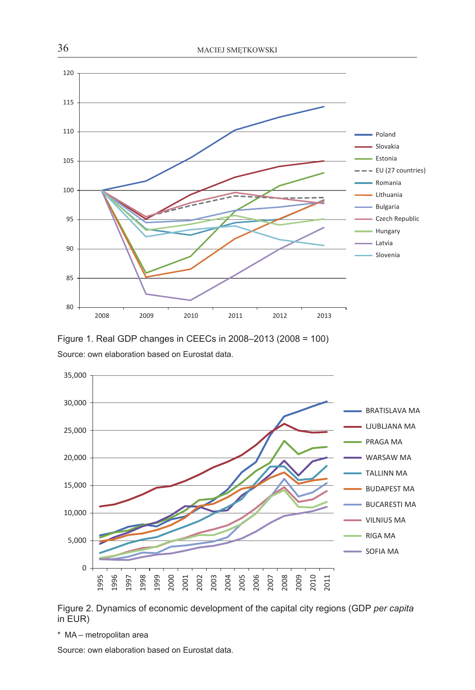





Figure 2. Dynamics of economic development of the capital city regions (GDP *per capita* in EUR)

\* MA – metropolitan area

Source: own elaboration based on Eurostat data.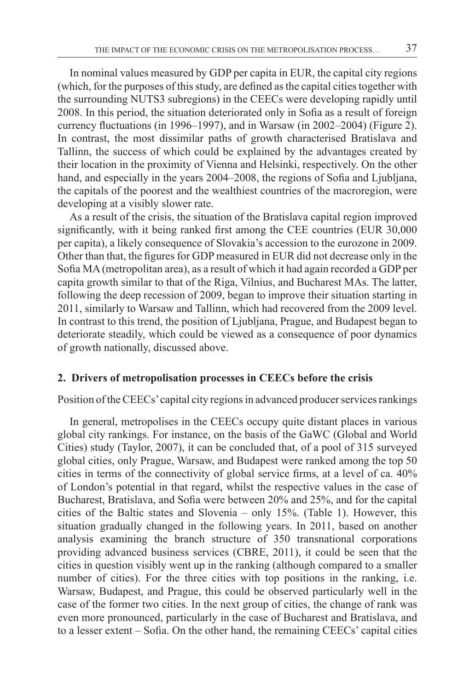In nominal values measured by GDP per capita in EUR, the capital city regions (which, for the purposes of this study, are defined as the capital cities together with the surrounding NUTS3 subregions) in the CEECs were developing rapidly until 2008. In this period, the situation deteriorated only in Sofia as a result of foreign currency fluctuations (in 1996–1997), and in Warsaw (in 2002–2004) (Figure 2). In contrast, the most dissimilar paths of growth characterised Bratislava and Tallinn, the success of which could be explained by the advantages created by their location in the proximity of Vienna and Helsinki, respectively. On the other hand, and especially in the years 2004–2008, the regions of Sofia and Ljubljana, the capitals of the poorest and the wealthiest countries of the macroregion, were developing at a visibly slower rate.

As a result of the crisis, the situation of the Bratislava capital region improved significantly, with it being ranked first among the CEE countries (EUR 30,000 per capita), a likely consequence of Slovakia's accession to the eurozone in 2009. Other than that, the figures for GDP measured in EUR did not decrease only in the Sofia MA(metropolitan area), as a result of which it had again recorded a GDP per capita growth similar to that of the Riga, Vilnius, and Bucharest MAs. The latter, following the deep recession of 2009, began to improve their situation starting in 2011, similarly to Warsaw and Tallinn, which had recovered from the 2009 level. In contrast to this trend, the position of Ljubljana, Prague, and Budapest began to deteriorate steadily, which could be viewed as a consequence of poor dynamics of growth nationally, discussed above.

#### **2. Drivers of metropolisation processes in CEECs before the crisis**

Position of the CEECs' capital city regions in advanced producer services rankings

In general, metropolises in the CEECs occupy quite distant places in various global city rankings. For instance, on the basis of the GaWC (Global and World Cities) study (Taylor, 2007), it can be concluded that, of a pool of 315 surveyed global cities, only Prague, Warsaw, and Budapest were ranked among the top 50 cities in terms of the connectivity of global service firms, at a level of ca. 40% of London's potential in that regard, whilst the respective values in the case of Bucharest, Bratislava, and Sofia were between 20% and 25%, and for the capital cities of the Baltic states and Slovenia – only 15%. (Table 1). However, this situation gradually changed in the following years. In 2011, based on another analysis examining the branch structure of 350 transnational corporations providing advanced business services (CBRE, 2011), it could be seen that the cities in question visibly went up in the ranking (although compared to a smaller number of cities). For the three cities with top positions in the ranking, i.e. Warsaw, Budapest, and Prague, this could be observed particularly well in the case of the former two cities. In the next group of cities, the change of rank was even more pronounced, particularly in the case of Bucharest and Bratislava, and to a lesser extent – Sofia. On the other hand, the remaining CEECs' capital cities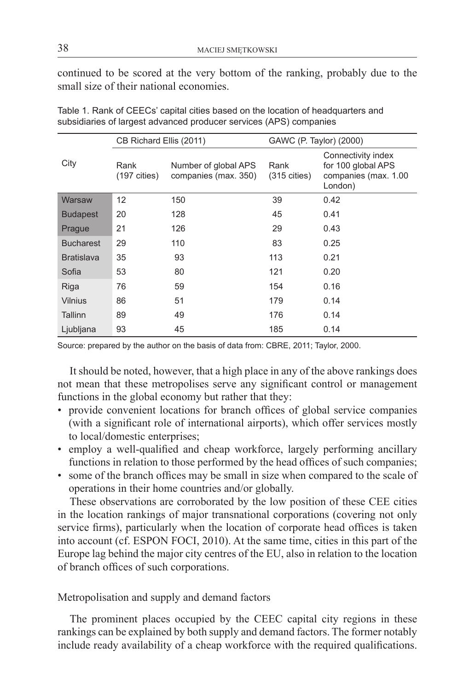continued to be scored at the very bottom of the ranking, probably due to the small size of their national economies.

|                   | CB Richard Ellis (2011)        |                                              | GAWC (P. Taylor) (2000)        |                                                                             |  |  |
|-------------------|--------------------------------|----------------------------------------------|--------------------------------|-----------------------------------------------------------------------------|--|--|
| City              | Rank<br>$(197 \text{ cities})$ | Number of global APS<br>companies (max. 350) | Rank<br>$(315 \text{ cities})$ | Connectivity index<br>for 100 global APS<br>companies (max. 1.00<br>London) |  |  |
| Warsaw            | 12                             | 150                                          | 39                             | 0.42                                                                        |  |  |
| <b>Budapest</b>   | 20                             | 128                                          | 45                             | 0.41                                                                        |  |  |
| Prague            | 21                             | 126                                          | 29                             | 0.43                                                                        |  |  |
| <b>Bucharest</b>  | 29                             | 110                                          | 83                             | 0.25                                                                        |  |  |
| <b>Bratislava</b> | 35                             | 93                                           | 113                            | 0.21                                                                        |  |  |
| Sofia             | 53                             | 80                                           | 121                            | 0.20                                                                        |  |  |
| Riga              | 76                             | 59                                           | 154                            | 0.16                                                                        |  |  |
| <b>Vilnius</b>    | 86                             | 51                                           | 179                            | 0.14                                                                        |  |  |
| Tallinn           | 89                             | 49                                           | 176                            | 0.14                                                                        |  |  |
| Ljubljana         | 93                             | 45                                           | 185                            | 0.14                                                                        |  |  |

Table 1. Rank of CEECs' capital cities based on the location of headquarters and subsidiaries of largest advanced producer services (APS) companies

Source: prepared by the author on the basis of data from: CBRE, 2011; Taylor, 2000.

It should be noted, however, that a high place in any of the above rankings does not mean that these metropolises serve any significant control or management functions in the global economy but rather that they:

- provide convenient locations for branch offices of global service companies (with a significant role of international airports), which offer services mostly to local/domestic enterprises;
- employ a well-qualified and cheap workforce, largely performing ancillary functions in relation to those performed by the head offices of such companies;
- some of the branch offices may be small in size when compared to the scale of operations in their home countries and/or globally.

These observations are corroborated by the low position of these CEE cities in the location rankings of major transnational corporations (covering not only service firms), particularly when the location of corporate head offices is taken into account (cf. ESPON FOCI, 2010). At the same time, cities in this part of the Europe lag behind the major city centres of the EU, also in relation to the location of branch offices of such corporations.

#### Metropolisation and supply and demand factors

The prominent places occupied by the CEEC capital city regions in these rankings can be explained by both supply and demand factors. The former notably include ready availability of a cheap workforce with the required qualifications.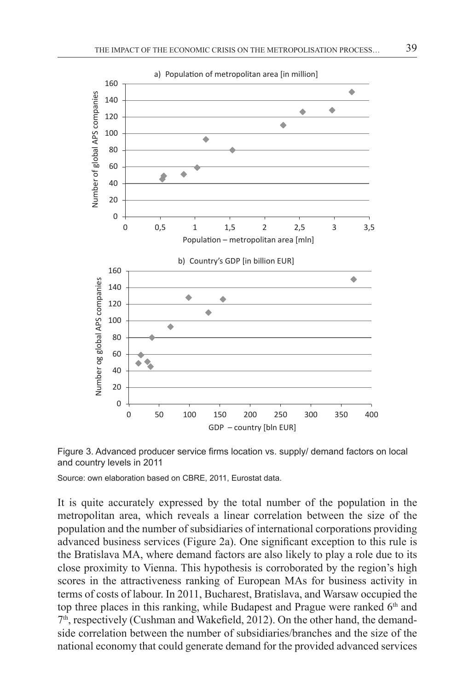



Source: own elaboration based on CBRE, 2011, Eurostat data.

It is quite accurately expressed by the total number of the population in the metropolitan area, which reveals a linear correlation between the size of the population and the number of subsidiaries of international corporations providing advanced business services (Figure 2a). One significant exception to this rule is the Bratislava MA, where demand factors are also likely to play a role due to its close proximity to Vienna. This hypothesis is corroborated by the region's high scores in the attractiveness ranking of European MAs for business activity in terms of costs of labour. In 2011, Bucharest, Bratislava, and Warsaw occupied the top three places in this ranking, while Budapest and Prague were ranked 6<sup>th</sup> and 7th, respectively (Cushman and Wakefield, 2012). On the other hand, the demandside correlation between the number of subsidiaries/branches and the size of the national economy that could generate demand for the provided advanced services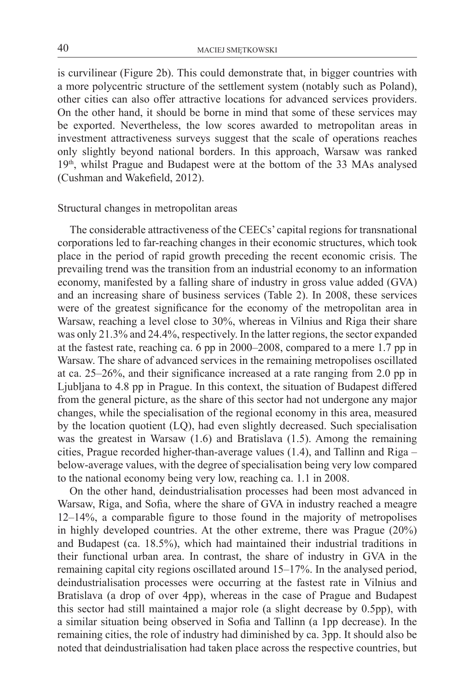is curvilinear (Figure 2b). This could demonstrate that, in bigger countries with a more polycentric structure of the settlement system (notably such as Poland), other cities can also offer attractive locations for advanced services providers. On the other hand, it should be borne in mind that some of these services may be exported. Nevertheless, the low scores awarded to metropolitan areas in investment attractiveness surveys suggest that the scale of operations reaches only slightly beyond national borders. In this approach, Warsaw was ranked 19th, whilst Prague and Budapest were at the bottom of the 33 MAs analysed (Cushman and Wakefield, 2012).

### Structural changes in metropolitan areas

The considerable attractiveness of the CEECs' capital regions for transnational corporations led to far-reaching changes in their economic structures, which took place in the period of rapid growth preceding the recent economic crisis. The prevailing trend was the transition from an industrial economy to an information economy, manifested by a falling share of industry in gross value added (GVA) and an increasing share of business services (Table 2). In 2008, these services were of the greatest significance for the economy of the metropolitan area in Warsaw, reaching a level close to 30%, whereas in Vilnius and Riga their share was only 21.3% and 24.4%, respectively. In the latter regions, the sector expanded at the fastest rate, reaching ca. 6 pp in 2000–2008, compared to a mere 1.7 pp in Warsaw. The share of advanced services in the remaining metropolises oscillated at ca. 25–26%, and their significance increased at a rate ranging from 2.0 pp in Ljubljana to 4.8 pp in Prague. In this context, the situation of Budapest differed from the general picture, as the share of this sector had not undergone any major changes, while the specialisation of the regional economy in this area, measured by the location quotient (LQ), had even slightly decreased. Such specialisation was the greatest in Warsaw (1.6) and Bratislava (1.5). Among the remaining cities, Prague recorded higher-than-average values (1.4), and Tallinn and Riga – below-average values, with the degree of specialisation being very low compared to the national economy being very low, reaching ca. 1.1 in 2008.

On the other hand, deindustrialisation processes had been most advanced in Warsaw, Riga, and Sofia, where the share of GVA in industry reached a meagre 12–14%, a comparable figure to those found in the majority of metropolises in highly developed countries. At the other extreme, there was Prague (20%) and Budapest (ca. 18.5%), which had maintained their industrial traditions in their functional urban area. In contrast, the share of industry in GVA in the remaining capital city regions oscillated around 15–17%. In the analysed period, deindustrialisation processes were occurring at the fastest rate in Vilnius and Bratislava (a drop of over 4pp), whereas in the case of Prague and Budapest this sector had still maintained a major role (a slight decrease by 0.5pp), with a similar situation being observed in Sofia and Tallinn (a 1pp decrease). In the remaining cities, the role of industry had diminished by ca. 3pp. It should also be noted that deindustrialisation had taken place across the respective countries, but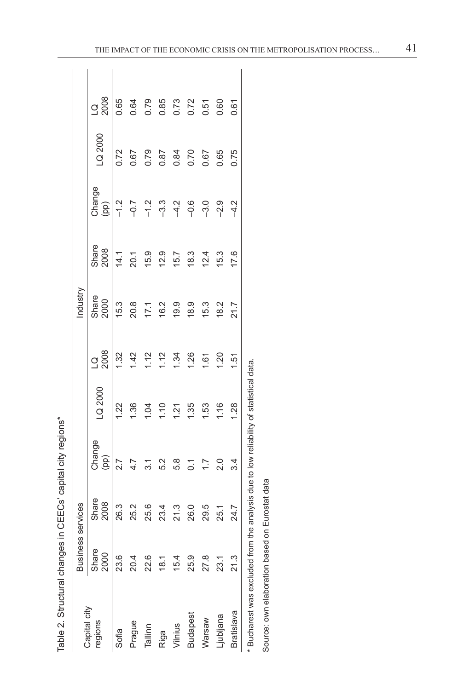| --------<br>١                    |
|----------------------------------|
| İ<br>5                           |
| :<br>גרוי ה                      |
| $\overline{\phantom{a}}$<br>くししく |
| í                                |
| ^^^^^^^^^^^<br>)                 |
|                                  |
| Ó                                |
|                                  |

| Table 2. Structural changes in CE    |                   |               | ECs' capital city regions*                         |         |                   |               |               |                |         |                   |
|--------------------------------------|-------------------|---------------|----------------------------------------------------|---------|-------------------|---------------|---------------|----------------|---------|-------------------|
|                                      | Business services |               |                                                    |         |                   | Industry      |               |                |         |                   |
| Capital city<br>regions              | Share<br>2000     | Share<br>2008 | Change<br>(pp)                                     | LQ 2000 | 2008<br>$\vec{a}$ | Share<br>2000 | Share<br>2008 | Change<br>(pp) | LQ 2000 | 2008<br>$\vec{a}$ |
| Sofia                                | 23.6              | 26.3          | 2.7                                                | 1.22    | 1.32              | 15.3          | 14.1          | $-1.2$         | 0.72    | 0.65              |
| Prague                               | 20.4              | 2.5.2         | 4.7                                                | 1.36    | 1.42              | 20.8          | 20.1          | $-0.7$         | 0.67    | 0.64              |
| Tallinn                              | 22.6              | 25.6          | $\overline{3}$ .1                                  | 1.04    | 1.12              | 17.1          | 15.9          | $-1.2$         | 0.79    | 0.79              |
| Riga                                 | $\frac{18}{18}$   | 23.4          | 5.2                                                | 1.10    | 1.12              | 16.2          | 12.9          | $-3.3$         | 0.87    | 0.85              |
| Vilnius                              | 15.4              | 21.3          | 5.8                                                | 1.21    | 1.34              | 19.9          | 15.7          | $-4.2$         | 0.84    | 0.73              |
| <b>Budapest</b>                      | 25.9              | 26.0          | $\overline{0}$ :                                   | 1.35    | 1.26              | 18.9          | 18.3          | $-0.6$         | 0.70    | 0.72              |
| Warsaw                               | 27.8              | 29.5          | $\overline{1}$ :                                   | 1.53    | 1.61              | 15.3          | 12.4          | $-3.0$         | 0.67    | 0.51              |
| Ljubljana                            | 23.1              | 25.1          | 2.0                                                | 1.16    | 1.20              | 18.2          | 15.3          | $-2.9$         | 0.65    | 0.60              |
| Bratislava                           | 21.3              | 24.7          | 3.4                                                | 1.28    | 1.51              | 21.7          | 17.6          | $\frac{2}{3}$  | 0.75    | 0.61              |
| * Bucharest was excluded from the an |                   |               | alysis due to low reliability of statistical data. |         |                   |               |               |                |         |                   |

Source: own elaboration based on Eurostat data Source: own elaboration based on Eurostat data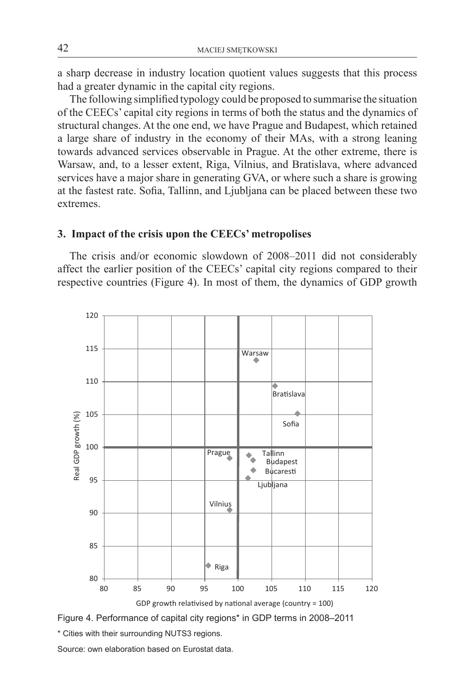a sharp decrease in industry location quotient values suggests that this process had a greater dynamic in the capital city regions.

The following simplified typology could be proposed to summarise the situation of the CEECs' capital city regions in terms of both the status and the dynamics of structural changes. At the one end, we have Prague and Budapest, which retained a large share of industry in the economy of their MAs, with a strong leaning towards advanced services observable in Prague. At the other extreme, there is Warsaw, and, to a lesser extent, Riga, Vilnius, and Bratislava, where advanced services have a major share in generating GVA, or where such a share is growing at the fastest rate. Sofia, Tallinn, and Ljubljana can be placed between these two extremes.

### **3. Impact of the crisis upon the CEECs' metropolises**

The crisis and/or economic slowdown of 2008–2011 did not considerably affect the earlier position of the CEECs' capital city regions compared to their respective countries (Figure 4). In most of them, the dynamics of GDP growth





\* Cities with their surrounding NUTS3 regions.

Source: own elaboration based on Eurostat data.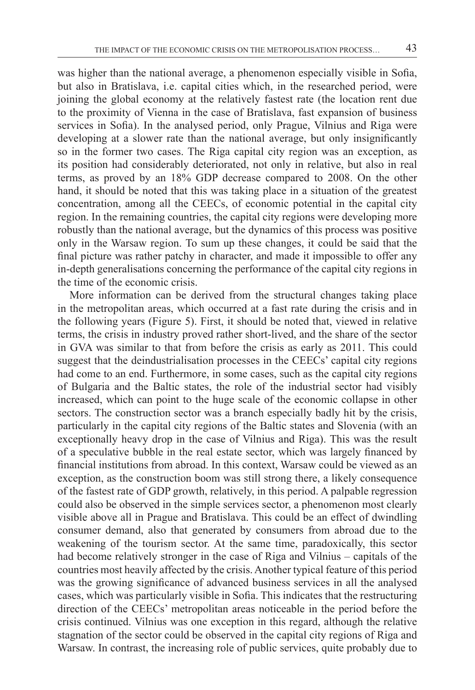was higher than the national average, a phenomenon especially visible in Sofia, but also in Bratislava, i.e. capital cities which, in the researched period, were joining the global economy at the relatively fastest rate (the location rent due to the proximity of Vienna in the case of Bratislava, fast expansion of business services in Sofia). In the analysed period, only Prague, Vilnius and Riga were developing at a slower rate than the national average, but only insignificantly so in the former two cases. The Riga capital city region was an exception, as its position had considerably deteriorated, not only in relative, but also in real terms, as proved by an 18% GDP decrease compared to 2008. On the other hand, it should be noted that this was taking place in a situation of the greatest concentration, among all the CEECs, of economic potential in the capital city region. In the remaining countries, the capital city regions were developing more robustly than the national average, but the dynamics of this process was positive only in the Warsaw region. To sum up these changes, it could be said that the final picture was rather patchy in character, and made it impossible to offer any in-depth generalisations concerning the performance of the capital city regions in the time of the economic crisis.

More information can be derived from the structural changes taking place in the metropolitan areas, which occurred at a fast rate during the crisis and in the following years (Figure 5). First, it should be noted that, viewed in relative terms, the crisis in industry proved rather short-lived, and the share of the sector in GVA was similar to that from before the crisis as early as 2011. This could suggest that the deindustrialisation processes in the CEECs' capital city regions had come to an end. Furthermore, in some cases, such as the capital city regions of Bulgaria and the Baltic states, the role of the industrial sector had visibly increased, which can point to the huge scale of the economic collapse in other sectors. The construction sector was a branch especially badly hit by the crisis, particularly in the capital city regions of the Baltic states and Slovenia (with an exceptionally heavy drop in the case of Vilnius and Riga). This was the result of a speculative bubble in the real estate sector, which was largely financed by financial institutions from abroad. In this context, Warsaw could be viewed as an exception, as the construction boom was still strong there, a likely consequence of the fastest rate of GDP growth, relatively, in this period. A palpable regression could also be observed in the simple services sector, a phenomenon most clearly visible above all in Prague and Bratislava. This could be an effect of dwindling consumer demand, also that generated by consumers from abroad due to the weakening of the tourism sector. At the same time, paradoxically, this sector had become relatively stronger in the case of Riga and Vilnius – capitals of the countries most heavily affected by the crisis.Another typical feature of this period was the growing significance of advanced business services in all the analysed cases, which was particularly visible in Sofia. This indicates that the restructuring direction of the CEECs' metropolitan areas noticeable in the period before the crisis continued. Vilnius was one exception in this regard, although the relative stagnation of the sector could be observed in the capital city regions of Riga and Warsaw. In contrast, the increasing role of public services, quite probably due to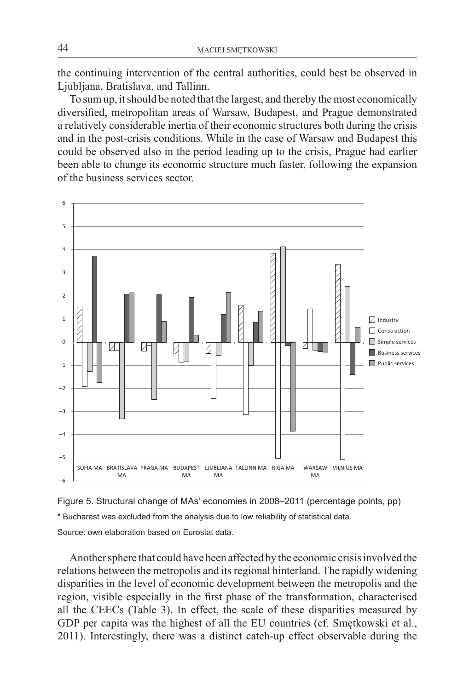the continuing intervention of the central authorities, could best be observed in Ljubljana, Bratislava, and Tallinn.

To sumup, itshould be noted that the largest, and thereby themost economically diversified, metropolitan areas of Warsaw, Budapest, and Prague demonstrated a relatively considerable inertia of their economic structures both during the crisis and in the post-crisis conditions. While in the case of Warsaw and Budapest this could be observed also in the period leading up to the crisis, Prague had earlier been able to change its economic structure much faster, following the expansion of the business services sector.





Another sphere that could have been affected by the economic crisis involved the relations between the metropolis and itsregional hinterland. The rapidly widening disparities in the level of economic development between the metropolis and the region, visible especially in the first phase of the transformation, characterised all the CEECs (Table 3). In effect, the scale of these disparities measured by GDP per capita was the highest of all the EU countries (cf. Smętkowski et al., 2011). Interestingly, there was a distinct catch-up effect observable during the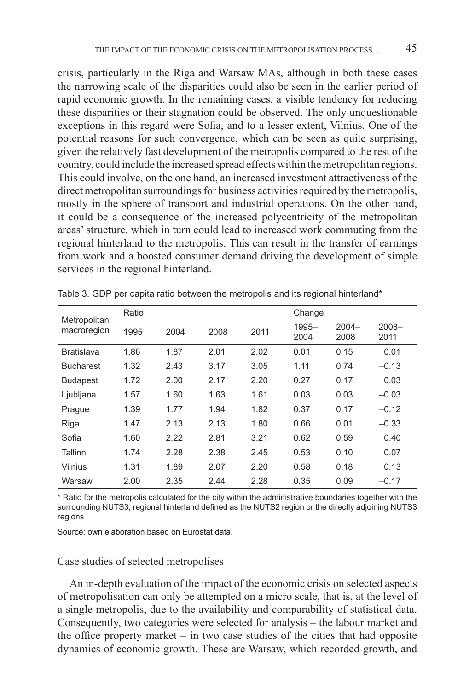crisis, particularly in the Riga and Warsaw MAs, although in both these cases the narrowing scale of the disparities could also be seen in the earlier period of rapid economic growth. In the remaining cases, a visible tendency for reducing these disparities or their stagnation could be observed. The only unquestionable exceptions in this regard were Sofia, and to a lesser extent, Vilnius. One of the potential reasons for such convergence, which can be seen as quite surprising, given the relatively fast development of the metropolis compared to the rest of the country, could include the increased spread effects within themetropolitan regions. This could involve, on the one hand, an increased investment attractiveness of the direct metropolitan surroundings for business activities required by the metropolis, mostly in the sphere of transport and industrial operations. On the other hand, it could be a consequence of the increased polycentricity of the metropolitan areas'structure, which in turn could lead to increased work commuting from the regional hinterland to the metropolis. This can result in the transfer of earnings from work and a boosted consumer demand driving the development of simple services in the regional hinterland.

| Metropolitan<br>macroregion | Ratio |      |      |      | Change        |                  |                  |  |
|-----------------------------|-------|------|------|------|---------------|------------------|------------------|--|
|                             | 1995  | 2004 | 2008 | 2011 | 1995-<br>2004 | $2004 -$<br>2008 | $2008 -$<br>2011 |  |
| <b>Bratislava</b>           | 1.86  | 1.87 | 2.01 | 2.02 | 0.01          | 0.15             | 0.01             |  |
| <b>Bucharest</b>            | 1.32  | 2.43 | 3.17 | 3.05 | 1.11          | 0.74             | $-0.13$          |  |
| <b>Budapest</b>             | 1.72  | 2.00 | 2.17 | 2.20 | 0.27          | 0.17             | 0.03             |  |
| Ljubljana                   | 1.57  | 1.60 | 1.63 | 1.61 | 0.03          | 0.03             | $-0.03$          |  |
| Prague                      | 1.39  | 1.77 | 1.94 | 1.82 | 0.37          | 0.17             | $-0.12$          |  |
| Riga                        | 1.47  | 2.13 | 2.13 | 1.80 | 0.66          | 0.01             | $-0.33$          |  |
| Sofia                       | 1.60  | 2.22 | 2.81 | 3.21 | 0.62          | 0.59             | 0.40             |  |
| Tallinn                     | 1.74  | 2.28 | 2.38 | 2.45 | 0.53          | 0.10             | 0.07             |  |
| <b>Vilnius</b>              | 1.31  | 1.89 | 2.07 | 2.20 | 0.58          | 0.18             | 0.13             |  |
| Warsaw                      | 2.00  | 2.35 | 2.44 | 2.28 | 0.35          | 0.09             | $-0.17$          |  |

Table 3. GDP per capita ratio between the metropolis and its regional hinterland\*

\* Ratio for the metropolis calculated for the city within the administrative boundaries together with the surrounding NUTS3; regional hinterland defined as the NUTS2 region or the directly adjoining NUTS3 regions

Source: own elaboration based on Eurostat data.

### Case studies of selected metropolises

An in-depth evaluation of the impact of the economic crisis on selected aspects of metropolisation can only be attempted on a micro scale, that is, at the level of a single metropolis, due to the availability and comparability of statistical data. Consequently, two categories were selected for analysis – the labour market and the office property market  $-$  in two case studies of the cities that had opposite dynamics of economic growth. These are Warsaw, which recorded growth, and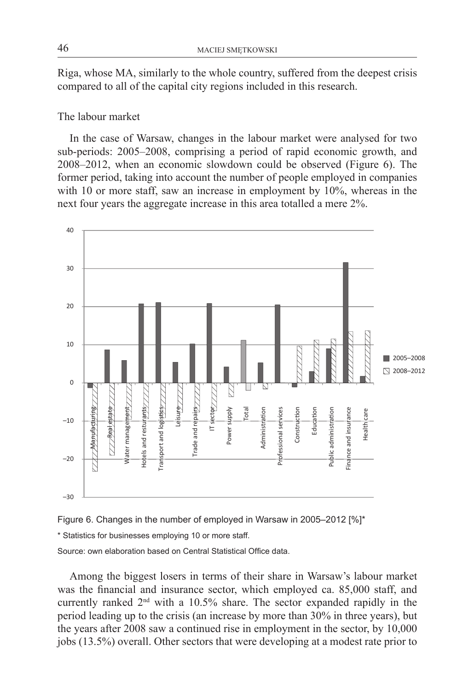Riga, whose MA, similarly to the whole country, suffered from the deepest crisis compared to all of the capital city regions included in this research.

### The labour market

In the case of Warsaw, changes in the labour market were analysed for two sub-periods: 2005–2008, comprising a period of rapid economic growth, and  $2008-2012$ , when an economic slowdown could be observed (Figure 6). The former period, taking into account the number of people employed in companies with  $10$  or more staff, saw an increase in employment by  $10\%$ , whereas in the next four years the aggregate increase in this area totalled a mere  $2\%$ .



Figure 6. Changes in the number of employed in Warsaw in 2005–2012 [%]\*

\* Statistics for businesses employing 10 or more staff.

Source: own elaboration based on Central Statistical Office data.

Among the biggest losers in terms of their share in Warsaw's labour market was the financial and insurance sector, which employed ca. 85,000 staff, and currently ranked  $2<sup>nd</sup>$  with a 10.5% share. The sector expanded rapidly in the period leading up to the crisis (an increase by more than 30% in three years), but the years after  $2008$  saw a continued rise in employment in the sector, by  $10,000$ jobs (13.5%) overall. Other sectors that were developing at a modest rate prior to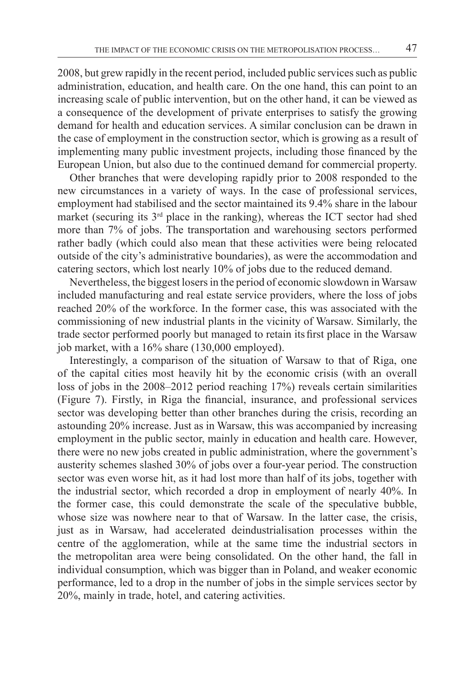2008, but grew rapidly in the recent period, included public services such as public administration, education, and health care. On the one hand, this can point to an increasing scale of public intervention, but on the other hand, it can be viewed as a consequence of the development of private enterprises to satisfy the growing demand for health and education services. A similar conclusion can be drawn in the case of employment in the construction sector, which is growing as a result of implementing many public investment projects, including those financed by the European Union, but also due to the continued demand for commercial property.

Other branches that were developing rapidly prior to 2008 responded to the new circumstances in a variety of ways. In the case of professional services, employment had stabilised and the sector maintained its 9.4% share in the labour market (securing its  $3<sup>rd</sup>$  place in the ranking), whereas the ICT sector had shed more than 7% of jobs. The transportation and warehousing sectors performed rather badly (which could also mean that these activities were being relocated outside of the city's administrative boundaries), as were the accommodation and catering sectors, which lost nearly 10% of jobs due to the reduced demand.

Nevertheless, the biggest losers in the period of economic slowdown in Warsaw included manufacturing and real estate service providers, where the loss of jobs reached 20% of the workforce. In the former case, this was associated with the commissioning of new industrial plants in the vicinity of Warsaw. Similarly, the trade sector performed poorly but managed to retain its first place in the Warsaw job market, with a 16% share (130,000 employed).

Interestingly, a comparison of the situation of Warsaw to that of Riga, one of the capital cities most heavily hit by the economic crisis (with an overall loss of jobs in the 2008–2012 period reaching 17%) reveals certain similarities (Figure 7). Firstly, in Riga the financial, insurance, and professional services sector was developing better than other branches during the crisis, recording an astounding 20% increase. Just as in Warsaw, this was accompanied by increasing employment in the public sector, mainly in education and health care. However, there were no new jobs created in public administration, where the government's austerity schemes slashed 30% of jobs over a four-year period. The construction sector was even worse hit, as it had lost more than half of its jobs, together with the industrial sector, which recorded a drop in employment of nearly 40%. In the former case, this could demonstrate the scale of the speculative bubble, whose size was nowhere near to that of Warsaw. In the latter case, the crisis, just as in Warsaw, had accelerated deindustrialisation processes within the centre of the agglomeration, while at the same time the industrial sectors in the metropolitan area were being consolidated. On the other hand, the fall in individual consumption, which was bigger than in Poland, and weaker economic performance, led to a drop in the number of jobs in the simple services sector by 20%, mainly in trade, hotel, and catering activities.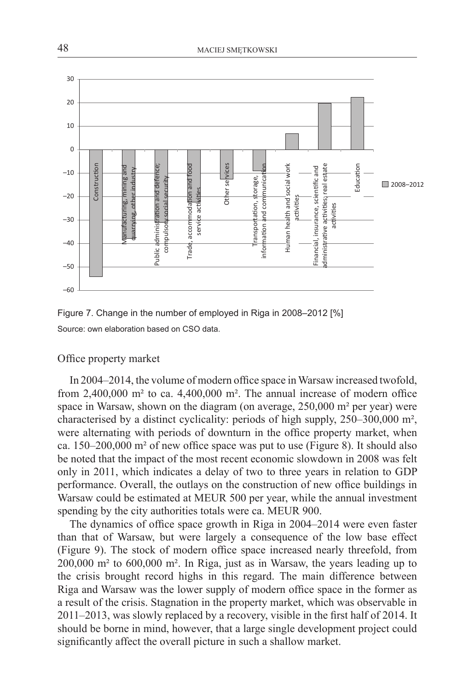



### Office property market

In 2004–2014, the volume of modern office space inWarsaw increased twofold, from 2,400,000 m² to ca. 4,400,000 m². The annual increase of modern office space in Warsaw, shown on the diagram (on average, 250,000 m<sup>2</sup> per year) were characterised by a distinct cyclicality: periods of high supply, 250–300,000 m², were alternating with periods of downturn in the office property market, when ca. 150–200,000 m² of new office space was put to use (Figure 8). It should also be noted that the impact of the most recent economic slowdown in 2008 was felt only in 2011, which indicates a delay of two to three years in relation to GDP performance. Overall, the outlays on the construction of new office buildings in Warsaw could be estimated at MEUR 500 per year, while the annual investment spending by the city authorities totals were ca. MEUR 900.

The dynamics of office space growth in Riga in 2004–2014 were even faster than that of Warsaw, but were largely a consequence of the low base effect (Figure 9). The stock of modern office space increased nearly threefold, from 200,000 m² to 600,000 m². In Riga, just as in Warsaw, the years leading up to the crisis brought record highs in this regard. The main difference between Riga and Warsaw was the lower supply of modern office space in the former as a result of the crisis. Stagnation in the property market, which was observable in 2011–2013, was slowly replaced by a recovery, visible in the first half of 2014. It should be borne in mind, however, that a large single development project could significantly affect the overall picture in such a shallow market.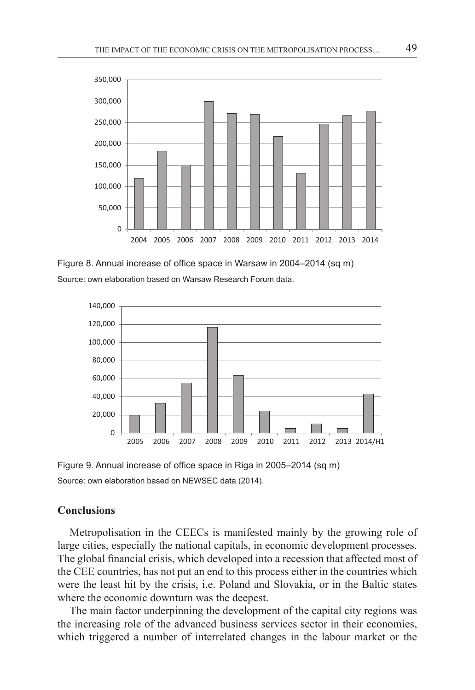

Figure 8. Annual increase of office space in Warsaw in 2004–2014 (sq m) Source: own elaboration based on Warsaw Research Forum data.



Figure 9. Annual increase of office space in Riga in 2005–2014 (sq m) Source: own elaboration based on NEWSEC data (2014).

### **Conclusions**

Metropolisation in the CEECs is manifested mainly by the growing role of large cities, especially the national capitals, in economic development processes. The global financial crisis, which developed into a recession that affected most of the CEE countries, has not put an end to this process either in the countries which were the least hit by the crisis, i.e. Poland and Slovakia, or in the Baltic states where the economic downturn was the deepest.

The main factor underpinning the development of the capital city regions was the increasing role of the advanced business services sector in their economies, which triggered a number of interrelated changes in the labour market or the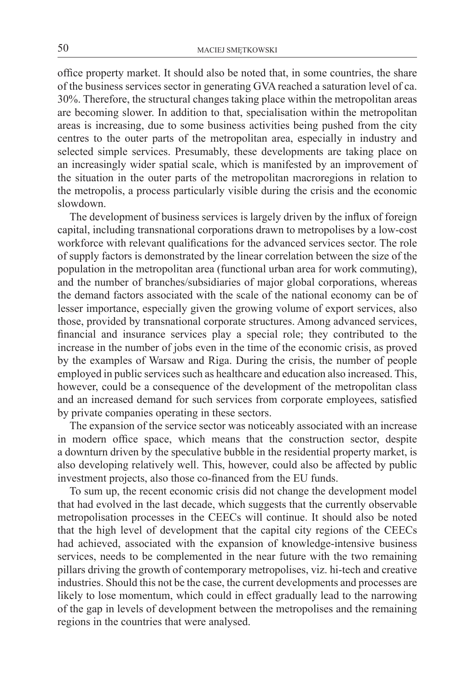office property market. It should also be noted that, in some countries, the share of the business services sector in generating GVA reached a saturation level of ca. 30%. Therefore, the structural changes taking place within the metropolitan areas are becoming slower. In addition to that, specialisation within the metropolitan areas is increasing, due to some business activities being pushed from the city centres to the outer parts of the metropolitan area, especially in industry and selected simple services. Presumably, these developments are taking place on an increasingly wider spatial scale, which is manifested by an improvement of the situation in the outer parts of the metropolitan macroregions in relation to the metropolis, a process particularly visible during the crisis and the economic slowdown.

The development of business services is largely driven by the influx of foreign capital, including transnational corporations drawn to metropolises by a low-cost workforce with relevant qualifications for the advanced services sector. The role of supply factors is demonstrated by the linear correlation between the size of the population in the metropolitan area (functional urban area for work commuting), and the number of branches/subsidiaries of major global corporations, whereas the demand factors associated with the scale of the national economy can be of lesser importance, especially given the growing volume of export services, also those, provided by transnational corporate structures. Among advanced services, financial and insurance services play a special role; they contributed to the increase in the number of jobs even in the time of the economic crisis, as proved by the examples of Warsaw and Riga. During the crisis, the number of people employed in public services such as healthcare and education also increased. This, however, could be a consequence of the development of the metropolitan class and an increased demand for such services from corporate employees, satisfied by private companies operating in these sectors.

The expansion of the service sector was noticeably associated with an increase in modern office space, which means that the construction sector, despite a downturn driven by the speculative bubble in the residential property market, is also developing relatively well. This, however, could also be affected by public investment projects, also those co-financed from the EU funds.

To sum up, the recent economic crisis did not change the development model that had evolved in the last decade, which suggests that the currently observable metropolisation processes in the CEECs will continue. It should also be noted that the high level of development that the capital city regions of the CEECs had achieved, associated with the expansion of knowledge-intensive business services, needs to be complemented in the near future with the two remaining pillars driving the growth of contemporary metropolises, viz. hi-tech and creative industries. Should this not be the case, the current developments and processes are likely to lose momentum, which could in effect gradually lead to the narrowing of the gap in levels of development between the metropolises and the remaining regions in the countries that were analysed.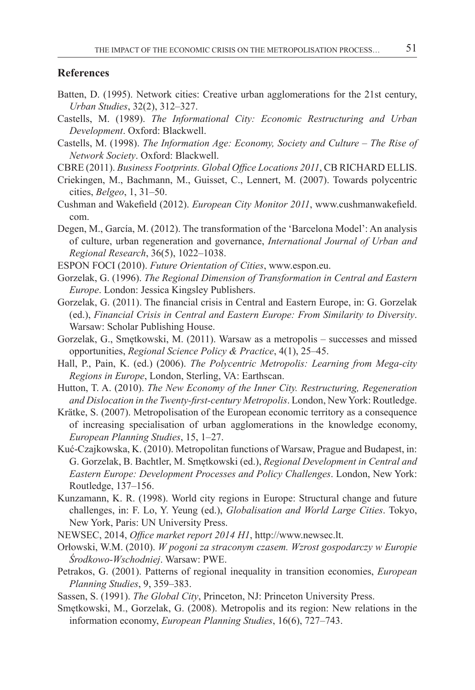#### **References**

- Batten, D. (1995). Network cities: Creative urban agglomerations for the 21st century, *Urban Studies*, 32(2), 312–327.
- Castells, M. (1989). *The Informational City: Economic Restructuring and Urban Development*. Oxford: Blackwell.
- Castells, M. (1998). *The Information Age: Economy, Society and Culture The Rise of Network Society*. Oxford: Blackwell.
- CBRE (2011). *Business Footprints. Global Office Locations 2011*, CB RICHARD ELLIS.
- Criekingen, M., Bachmann, M., Guisset, C., Lennert, M. (2007). Towards polycentric cities, *Belgeo*, 1, 31–50.
- Cushman and Wakefield (2012). *European City Monitor 2011*, www.cushmanwakefield. com.
- Degen, M., García, M. (2012). The transformation of the 'Barcelona Model': An analysis of culture, urban regeneration and governance, *International Journal of Urban and Regional Research*, 36(5), 1022–1038.

ESPON FOCI (2010). *Future Orientation of Cities*, www.espon.eu.

- Gorzelak, G. (1996). *The Regional Dimension of Transformation in Central and Eastern Europe*. London: Jessica Kingsley Publishers.
- Gorzelak, G. (2011). The financial crisis in Central and Eastern Europe, in: G. Gorzelak (ed.), *Financial Crisis in Central and Eastern Europe: From Similarity to Diversity*. Warsaw: Scholar Publishing House.
- Gorzelak, G., Smętkowski, M. (2011). Warsaw as a metropolis successes and missed opportunities, *Regional Science Policy & Practice*, 4(1), 25–45.
- Hall, P., Pain, K. (ed.) (2006). *The Polycentric Metropolis: Learning from Mega-city Regions in Europe*, London, Sterling, VA: Earthscan.
- Hutton, T. A. (2010). *The New Economy of the Inner City. Restructuring, Regeneration and Dislocation in the Twenty-first-century Metropolis*. London, New York: Routledge.
- Krätke, S. (2007). Metropolisation of the European economic territory as a consequence of increasing specialisation of urban agglomerations in the knowledge economy, *European Planning Studies*, 15, 1–27.
- Kuć-Czajkowska, K. (2010). Metropolitan functions of Warsaw, Prague and Budapest, in: G. Gorzelak, B. Bachtler, M. Smętkowski (ed.), *Regional Development in Central and Eastern Europe: Development Processes and Policy Challenges*. London, New York: Routledge, 137–156.
- Kunzamann, K. R. (1998). World city regions in Europe: Structural change and future challenges, in: F. Lo, Y. Yeung (ed.), *Globalisation and World Large Cities*. Tokyo, New York, Paris: UN University Press.
- NEWSEC, 2014, *Office market report 2014 H1*, http://www.newsec.lt.
- Orłowski, W.M. (2010). *W pogoni za straconym czasem. Wzrost gospodarczy w Europie Środkowo-Wschodniej*. Warsaw: PWE.
- Petrakos, G. (2001). Patterns of regional inequality in transition economies, *European Planning Studies*, 9, 359–383.
- Sassen, S. (1991). *The Global City*, Princeton, NJ: Princeton University Press.
- Smętkowski, M., Gorzelak, G. (2008). Metropolis and its region: New relations in the information economy, *European Planning Studies*, 16(6), 727–743.